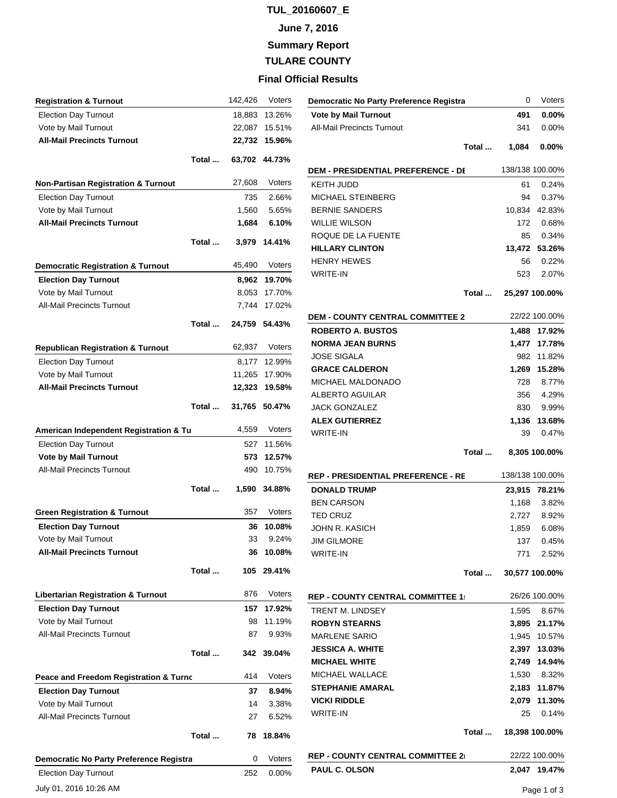# **TUL\_20160607\_E**

**June 7, 2016**

**Summary Report**

**TULARE COUNTY**

## **Final Official Results**

| <b>Registration &amp; Turnout</b>              |       | 142,426 | Voters   |
|------------------------------------------------|-------|---------|----------|
| <b>Election Day Turnout</b>                    |       | 18,883  | 13.26%   |
| Vote by Mail Turnout                           |       | 22,087  | 15.51%   |
| <b>All-Mail Precincts Turnout</b>              |       | 22,732  | 15.96%   |
|                                                | Total | 63,702  | 44.73%   |
| <b>Non-Partisan Registration &amp; Turnout</b> |       | 27,608  | Voters   |
| <b>Election Day Turnout</b>                    |       | 735     | 2.66%    |
| Vote by Mail Turnout                           |       | 1,560   | 5.65%    |
| <b>All-Mail Precincts Turnout</b>              |       | 1,684   | 6.10%    |
|                                                | Total | 3,979   | 14.41%   |
| <b>Democratic Registration &amp; Turnout</b>   |       | 45,490  | Voters   |
| <b>Election Day Turnout</b>                    |       | 8,962   | 19.70%   |
| Vote by Mail Turnout                           |       | 8,053   | 17.70%   |
| <b>All-Mail Precincts Turnout</b>              |       | 7,744   | 17.02%   |
|                                                | Total | 24,759  | 54.43%   |
| <b>Republican Registration &amp; Turnout</b>   |       | 62,937  | Voters   |
| <b>Election Day Turnout</b>                    |       | 8,177   | 12.99%   |
| Vote by Mail Turnout                           |       | 11,265  | 17.90%   |
| <b>All-Mail Precincts Turnout</b>              |       | 12,323  | 19.58%   |
|                                                | Total | 31,765  | 50.47%   |
| American Independent Registration & Tu         |       | 4,559   | Voters   |
| <b>Election Day Turnout</b>                    |       | 527     | 11.56%   |
| <b>Vote by Mail Turnout</b>                    |       | 573     | 12.57%   |
| <b>All-Mail Precincts Turnout</b>              |       | 490     | 10.75%   |
|                                                | Total | 1,590   | 34.88%   |
| <b>Green Registration &amp; Turnout</b>        |       | 357     | Voters   |
| <b>Election Day Turnout</b>                    |       | 36      | 10.08%   |
| Vote by Mail Turnout                           |       | 33      | 9.24%    |
| <b>All-Mail Precincts Turnout</b>              |       | 36      | 10.08%   |
|                                                | Total | 105     | 29.41%   |
| <b>Libertarian Registration &amp; Turnout</b>  |       | 876     | Voters   |
| <b>Election Day Turnout</b>                    |       | 157     | 17.92%   |
| Vote by Mail Turnout                           |       | 98      | 11.19%   |
| <b>All-Mail Precincts Turnout</b>              |       | 87      | 9.93%    |
|                                                | Total | 342     | 39.04%   |
| Peace and Freedom Registration & Turnc         |       | 414     | Voters   |
| <b>Election Day Turnout</b>                    |       | 37      | 8.94%    |
| Vote by Mail Turnout                           |       | 14      | 3.38%    |
| <b>All-Mail Precincts Turnout</b>              |       | 27      | 6.52%    |
|                                                | Total | 78      | 18.84%   |
| Democratic No Party Preference Registra        |       | 0       | Voters   |
| <b>Election Day Turnout</b>                    |       | 252     | $0.00\%$ |
| July 01, 2016 10:26 AM                         |       |         |          |

| Democratic No Party Preference Registra   |        | 0<br>Voters           |
|-------------------------------------------|--------|-----------------------|
| <b>Vote by Mail Turnout</b>               |        | 491<br>$0.00\%$       |
| <b>All-Mail Precincts Turnout</b>         | 341    | $0.00\%$              |
|                                           |        |                       |
| Total                                     | 1,084  | $0.00\%$              |
| <b>DEM - PRESIDENTIAL PREFERENCE - DI</b> |        | 138/138 100.00%       |
| KEITH JUDD                                |        | 61<br>0.24%           |
| MICHAEL STEINBERG                         |        | 94<br>0.37%           |
| <b>BERNIE SANDERS</b>                     |        | 10,834 42.83%         |
| <b>WILLIE WILSON</b>                      |        | 172<br>0.68%          |
| ROQUE DE LA FUENTE                        |        | 0.34%<br>85           |
| <b>HILLARY CLINTON</b>                    | 13,472 | 53.26%                |
| <b>HENRY HEWES</b>                        |        | 56<br>0.22%           |
| <b>WRITE-IN</b>                           | 523    | 2.07%                 |
|                                           |        |                       |
| Total                                     |        | 25,297 100.00%        |
| <b>DEM - COUNTY CENTRAL COMMITTEE 2</b>   |        | 22/22 100.00%         |
| <b>ROBERTO A. BUSTOS</b>                  | 1,488  | 17.92%                |
| <b>NORMA JEAN BURNS</b>                   | 1,477  | 17.78%                |
| <b>JOSE SIGALA</b>                        |        | 982<br>11.82%         |
| <b>GRACE CALDERON</b>                     | 1,269  | 15.28%                |
| MICHAEL MALDONADO                         | 728    | 8.77%                 |
| <b>ALBERTO AGUILAR</b>                    | 356    | 4.29%                 |
| <b>JACK GONZALEZ</b>                      |        | 830<br>9.99%          |
| <b>ALEX GUTIERREZ</b>                     | 1,136  | 13.68%                |
| <b>WRITE-IN</b>                           |        | 39<br>0.47%           |
|                                           |        |                       |
| Total                                     |        | 8,305 100.00%         |
| REP - PRESIDENTIAL PREFERENCE - RE        |        | 138/138 100.00%       |
| <b>DONALD TRUMP</b>                       |        |                       |
| <b>BEN CARSON</b>                         | 1,168  | 23,915 78.21%         |
|                                           |        | 3.82%                 |
| <b>TED CRUZ</b>                           |        | 2,727 8.92%           |
| JOHN R. KASICH                            |        | 1,859 6.08%           |
| <b>JIM GILMORE</b><br><b>WRITE-IN</b>     | 137    | 0.45%<br>771<br>2.52% |
|                                           |        |                       |
| Total                                     |        | 30,577 100.00%        |
| <b>REP - COUNTY CENTRAL COMMITTEE 1:</b>  |        | 26/26 100.00%         |
| <b>TRENT M. LINDSEY</b>                   |        | 1,595 8.67%           |
| <b>ROBYN STEARNS</b>                      | 3,895  | 21.17%                |
| <b>MARLENE SARIO</b>                      | 1.945  | 10.57%                |
| <b>JESSICA A. WHITE</b>                   |        | 2,397 13.03%          |
| <b>MICHAEL WHITE</b>                      |        | 2,749 14.94%          |
| <b>MICHAEL WALLACE</b>                    |        | 1,530 8.32%           |
| <b>STEPHANIE AMARAL</b>                   |        | 2,183 11.87%          |
| <b>VICKI RIDDLE</b>                       | 2,079  | 11.30%                |
| <b>WRITE-IN</b>                           |        | 25 0.14%              |
| Total                                     |        | 18,398 100.00%        |
| <b>REP - COUNTY CENTRAL COMMITTEE 2</b>   |        | 22/22 100.00%         |
| <b>PAUL C. OLSON</b>                      |        | 2,047 19.47%          |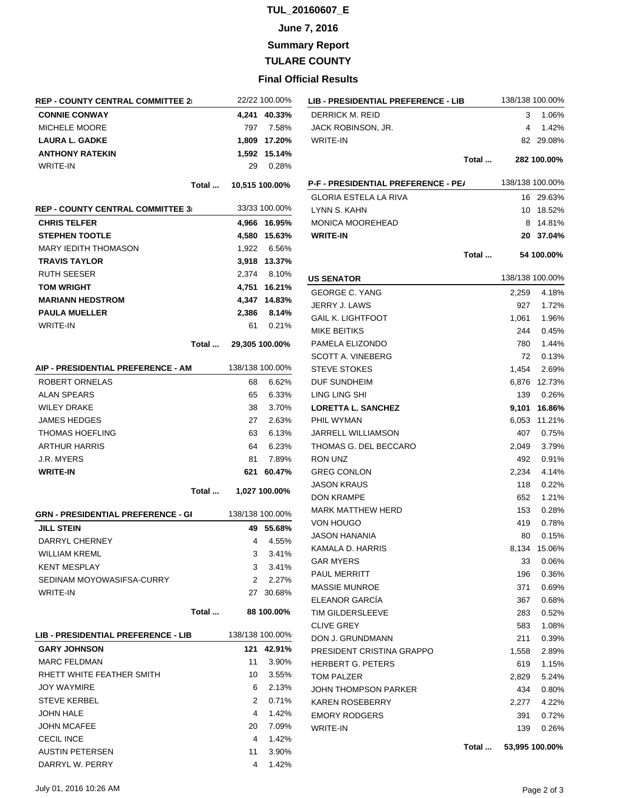### **TUL\_20160607\_E**

### **June 7, 2016**

**Summary Report**

**TULARE COUNTY**

#### **Final Official Results**

| <b>REP - COUNTY CENTRAL COMMITTEE 21</b>         | 22/22 100.00%         |                    |
|--------------------------------------------------|-----------------------|--------------------|
| <b>CONNIE CONWAY</b>                             |                       | 4,241 40.33%       |
| <b>MICHELE MOORE</b>                             |                       | 797 7.58%          |
| <b>LAURA L. GADKE</b>                            |                       | 1,809 17.20%       |
| <b>ANTHONY RATEKIN</b>                           |                       | 1,592 15.14%       |
| <b>WRITE-IN</b>                                  | 29                    | 0.28%              |
| Total                                            |                       | 10,515 100.00%     |
|                                                  |                       |                    |
| REP - COUNTY CENTRAL COMMITTEE 3⊨                |                       | 33/33 100.00%      |
| <b>CHRIS TELFER</b>                              |                       | 4,966 16.95%       |
| <b>STEPHEN TOOTLE</b>                            |                       | 4,580 15.63%       |
| <b>MARY IEDITH THOMASON</b>                      |                       | 1,922 6.56%        |
| <b>TRAVIS TAYLOR</b>                             |                       | 3,918 13.37%       |
| <b>RUTH SEESER</b>                               |                       | 2,374 8.10%        |
| <b>TOM WRIGHT</b>                                |                       | 4,751 16.21%       |
| <b>MARIANN HEDSTROM</b>                          |                       | 4,347 14.83%       |
| <b>PAULA MUELLER</b>                             |                       | 2,386 8.14%        |
| <b>WRITE-IN</b>                                  |                       | 61 0.21%           |
|                                                  | Total  29,305 100.00% |                    |
|                                                  |                       |                    |
| AIP - PRESIDENTIAL PREFERENCE - AM               |                       | 138/138 100.00%    |
| ROBERT ORNELAS                                   | 68                    | 6.62%              |
| <b>ALAN SPEARS</b>                               |                       | 65 6.33%           |
| <b>WILEY DRAKE</b>                               | 38                    | 3.70%              |
| <b>JAMES HEDGES</b>                              |                       | 27 2.63%           |
|                                                  |                       |                    |
| <b>THOMAS HOEFLING</b>                           | 63                    | 6.13%              |
| <b>ARTHUR HARRIS</b>                             |                       | 64 6.23%           |
| J.R. MYERS                                       | 81                    | 7.89%              |
| <b>WRITE-IN</b>                                  | 621                   | 60.47%             |
| Total                                            |                       | 1,027 100.00%      |
|                                                  |                       | 138/138 100.00%    |
| <b>GRN - PRESIDENTIAL PREFERENCE - GI</b>        |                       |                    |
| <b>JILL STEIN</b>                                |                       | 49 55.68%          |
| DARRYL CHERNEY                                   |                       | 4 4.55%            |
| <b>WILLIAM KREML</b>                             | 3                     | 3.41%              |
| <b>KENT MESPLAY</b><br>SEDINAM MOYOWASIFSA-CURRY |                       | 3 3.41%<br>2 2.27% |
| <b>WRITE-IN</b>                                  |                       | 27 30.68%          |
| Total                                            |                       | 88 100.00%         |
|                                                  |                       |                    |
| <b>LIB - PRESIDENTIAL PREFERENCE - LIB</b>       |                       | 138/138 100.00%    |
| <b>GARY JOHNSON</b>                              |                       | 121 42.91%         |
| <b>MARC FELDMAN</b>                              | 11                    | 3.90%              |
| RHETT WHITE FEATHER SMITH                        | 10 -                  | 3.55%              |
| <b>JOY WAYMIRE</b>                               | 6.                    | 2.13%              |
| <b>STEVE KERBEL</b>                              | 2                     | 0.71%              |
| JOHN HALE                                        | 4                     | 1.42%              |
| <b>JOHN MCAFEE</b>                               | 20                    | 7.09%              |
| <b>CECIL INCE</b>                                | 4                     | 1.42%              |
| AUSTIN PETERSEN<br>DARRYL W. PERRY               | 11                    | 3.90%<br>1.42%     |

| LIB - PRESIDENTIAL PREFERENCE - LIB        |       | 138/138 100.00% |                |
|--------------------------------------------|-------|-----------------|----------------|
| <b>DERRICK M. REID</b>                     |       | 3               | 1.06%          |
| JACK ROBINSON, JR.                         |       | 4               | 1.42%          |
| <b>WRITE-IN</b>                            |       |                 | 82 29.08%      |
|                                            | Total |                 | 282 100.00%    |
| <b>P-F - PRESIDENTIAL PREFERENCE - PE/</b> |       | 138/138 100.00% |                |
| <b>GLORIA ESTELA LA RIVA</b>               |       | 16              | 29.63%         |
| LYNN S. KAHN                               |       | 10              | 18.52%         |
| <b>MONICA MOOREHEAD</b>                    |       | 8               | 14.81%         |
| <b>WRITE-IN</b>                            |       | 20              | 37.04%         |
|                                            |       |                 |                |
|                                            | Total |                 | 54 100.00%     |
| <b>US SENATOR</b>                          |       | 138/138 100.00% |                |
| <b>GEORGE C. YANG</b>                      |       | 2,259           | 4.18%          |
| JERRY J. LAWS                              |       | 927             | 1.72%          |
| <b>GAIL K. LIGHTFOOT</b>                   |       | 1,061           | 1.96%          |
| <b>MIKE BEITIKS</b>                        |       | 244             | 0.45%          |
| PAMELA ELIZONDO                            |       | 780             | 1.44%          |
| <b>SCOTT A. VINEBERG</b>                   |       | 72              | 0.13%          |
| <b>STEVE STOKES</b>                        |       | 1,454           | 2.69%          |
| DUF SUNDHEIM                               |       | 6,876           | 12.73%         |
| LING LING SHI                              |       | 139             | 0.26%          |
| <b>LORETTA L. SANCHEZ</b>                  |       | 9,101           | 16.86%         |
| PHIL WYMAN                                 |       | 6,053           | 11.21%         |
| <b>JARRELL WILLIAMSON</b>                  |       | 407             | 0.75%          |
| THOMAS G. DEL BECCARO                      |       | 2,049           | 3.79%          |
| <b>RON UNZ</b>                             |       | 492             | 0.91%          |
| <b>GREG CONLON</b>                         |       | 2,234           | 4.14%          |
| <b>JASON KRAUS</b>                         |       | 118             | 0.22%          |
| <b>DON KRAMPE</b>                          |       | 652             | 1.21%          |
| <b>MARK MATTHEW HERD</b>                   |       | 153             | 0.28%          |
| VON HOUGO                                  |       | 419             | 0.78%          |
| <b>JASON HANANIA</b>                       |       | 80              | 0.15%          |
| KAMALA D. HARRIS                           |       | 8,134           | 15.06%         |
| <b>GAR MYERS</b>                           |       | 33              | $0.06\%$       |
| <b>PAUL MERRITT</b>                        |       | 196             | 0.36%          |
| <b>MASSIE MUNROE</b>                       |       | 371             | 0.69%          |
| ELEANOR GARCÍA                             |       | 367             | 0.68%          |
| TIM GILDERSLEEVE                           |       | 283             | 0.52%          |
| <b>CLIVE GREY</b>                          |       | 583             | 1.08%          |
| DON J. GRUNDMANN                           |       | 211             | 0.39%          |
| PRESIDENT CRISTINA GRAPPO                  |       | 1,558           | 2.89%          |
| <b>HERBERT G. PETERS</b>                   |       | 619             | 1.15%          |
| <b>TOM PALZER</b>                          |       | 2,829           | 5.24%          |
| JOHN THOMPSON PARKER                       |       | 434             | 0.80%          |
| <b>KAREN ROSEBERRY</b>                     |       | 2,277           | 4.22%          |
| <b>EMORY RODGERS</b>                       |       | 391             | 0.72%          |
| <b>WRITE-IN</b>                            |       | 139             | 0.26%          |
|                                            | Total |                 | 53,995 100.00% |